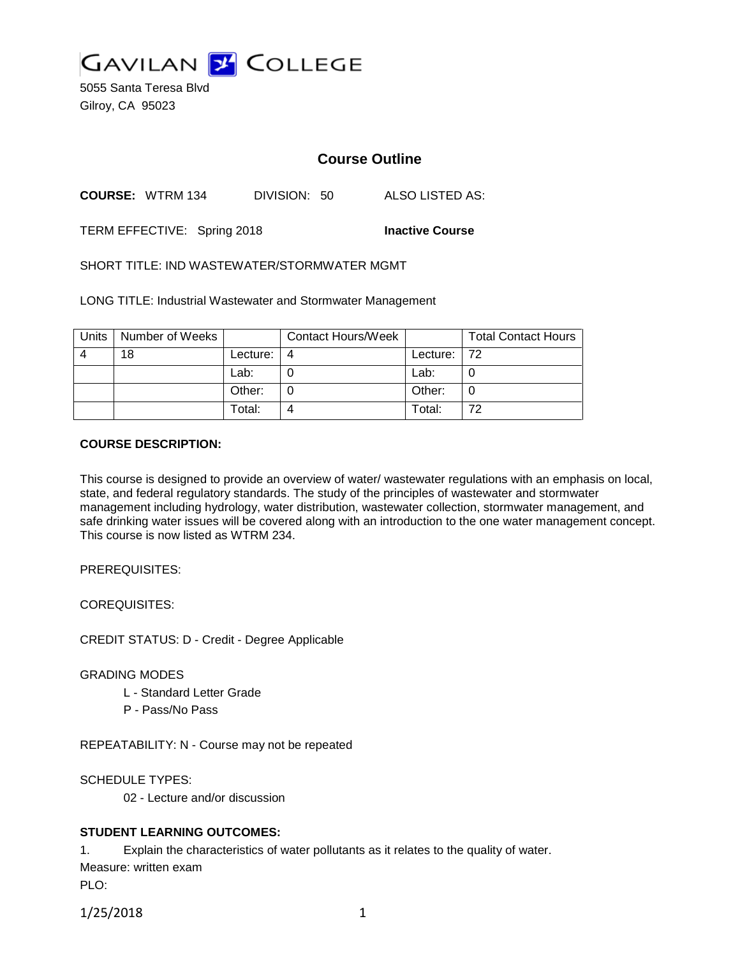

5055 Santa Teresa Blvd Gilroy, CA 95023

# **Course Outline**

**COURSE:** WTRM 134 DIVISION: 50 ALSO LISTED AS:

TERM EFFECTIVE: Spring 2018 **Inactive Course**

SHORT TITLE: IND WASTEWATER/STORMWATER MGMT

LONG TITLE: Industrial Wastewater and Stormwater Management

| Units | Number of Weeks |          | <b>Contact Hours/Week</b> |             | <b>Total Contact Hours</b> |
|-------|-----------------|----------|---------------------------|-------------|----------------------------|
| Δ     | 18              | Lecture: | 4                         | Lecture: 72 |                            |
|       |                 | Lab:     |                           | Lab:        |                            |
|       |                 | Other:   |                           | Other:      |                            |
|       |                 | Total:   |                           | Total:      | 72                         |

#### **COURSE DESCRIPTION:**

This course is designed to provide an overview of water/ wastewater regulations with an emphasis on local, state, and federal regulatory standards. The study of the principles of wastewater and stormwater management including hydrology, water distribution, wastewater collection, stormwater management, and safe drinking water issues will be covered along with an introduction to the one water management concept. This course is now listed as WTRM 234.

PREREQUISITES:

COREQUISITES:

CREDIT STATUS: D - Credit - Degree Applicable

GRADING MODES

- L Standard Letter Grade
- P Pass/No Pass

REPEATABILITY: N - Course may not be repeated

SCHEDULE TYPES:

02 - Lecture and/or discussion

## **STUDENT LEARNING OUTCOMES:**

1. Explain the characteristics of water pollutants as it relates to the quality of water. Measure: written exam

PLO:

1/25/2018 1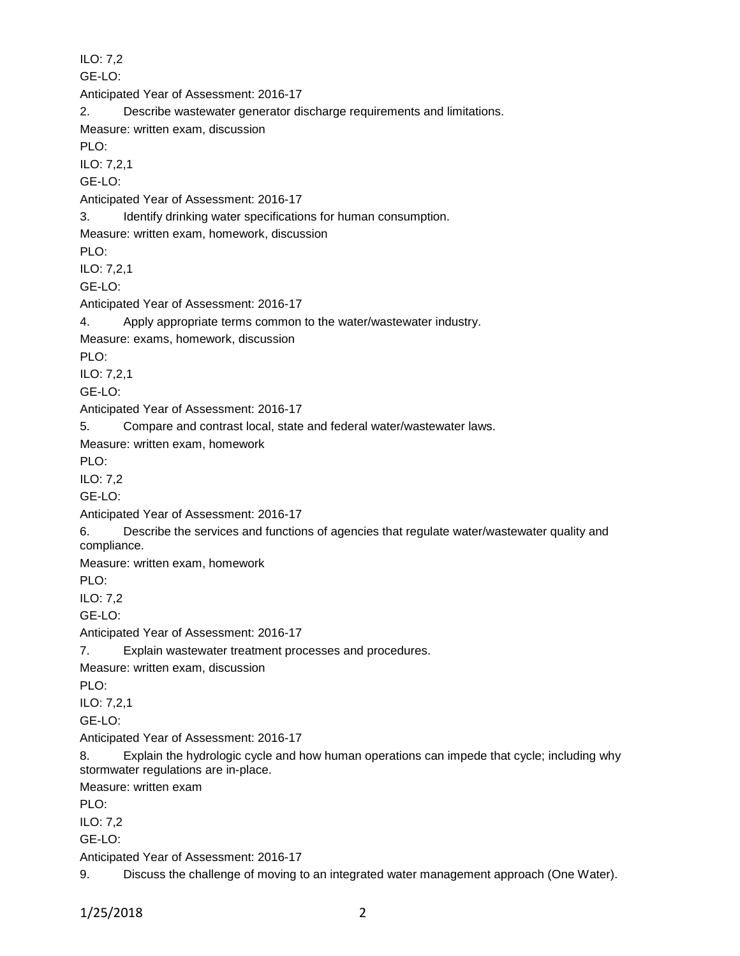ILO: 7,2 GE-LO: Anticipated Year of Assessment: 2016-17 2. Describe wastewater generator discharge requirements and limitations. Measure: written exam, discussion PLO: ILO: 7,2,1 GE-LO: Anticipated Year of Assessment: 2016-17 3. Identify drinking water specifications for human consumption. Measure: written exam, homework, discussion PLO: ILO: 7,2,1 GE-LO: Anticipated Year of Assessment: 2016-17 4. Apply appropriate terms common to the water/wastewater industry. Measure: exams, homework, discussion PLO: ILO: 7,2,1 GE-LO: Anticipated Year of Assessment: 2016-17 5. Compare and contrast local, state and federal water/wastewater laws. Measure: written exam, homework PLO: ILO: 7,2 GE-LO: Anticipated Year of Assessment: 2016-17 6. Describe the services and functions of agencies that regulate water/wastewater quality and compliance. Measure: written exam, homework PLO: ILO: 7,2 GE-LO: Anticipated Year of Assessment: 2016-17 7. Explain wastewater treatment processes and procedures. Measure: written exam, discussion PLO: ILO: 7,2,1 GE-LO: Anticipated Year of Assessment: 2016-17 8. Explain the hydrologic cycle and how human operations can impede that cycle; including why stormwater regulations are in-place. Measure: written exam PLO: ILO: 7,2 GE-LO: Anticipated Year of Assessment: 2016-17 9. Discuss the challenge of moving to an integrated water management approach (One Water).

1/25/2018 2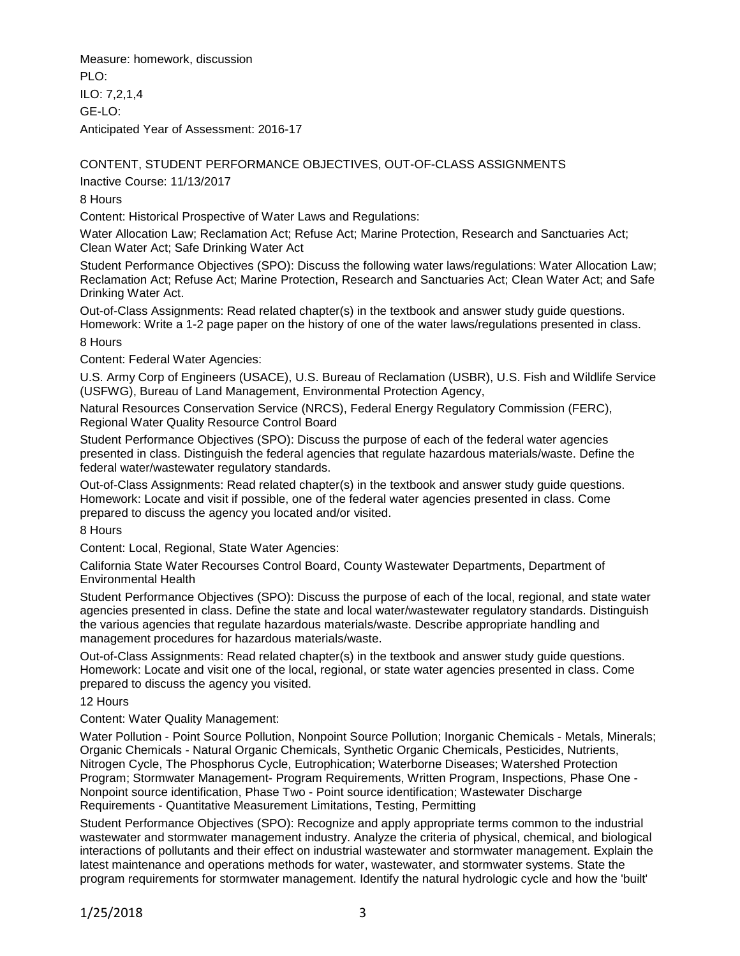Measure: homework, discussion  $PIO$ ILO: 7,2,1,4 GE-LO: Anticipated Year of Assessment: 2016-17

# CONTENT, STUDENT PERFORMANCE OBJECTIVES, OUT-OF-CLASS ASSIGNMENTS

Inactive Course: 11/13/2017

8 Hours

Content: Historical Prospective of Water Laws and Regulations:

Water Allocation Law; Reclamation Act; Refuse Act; Marine Protection, Research and Sanctuaries Act; Clean Water Act; Safe Drinking Water Act

Student Performance Objectives (SPO): Discuss the following water laws/regulations: Water Allocation Law; Reclamation Act; Refuse Act; Marine Protection, Research and Sanctuaries Act; Clean Water Act; and Safe Drinking Water Act.

Out-of-Class Assignments: Read related chapter(s) in the textbook and answer study guide questions. Homework: Write a 1-2 page paper on the history of one of the water laws/regulations presented in class.

## 8 Hours

Content: Federal Water Agencies:

U.S. Army Corp of Engineers (USACE), U.S. Bureau of Reclamation (USBR), U.S. Fish and Wildlife Service (USFWG), Bureau of Land Management, Environmental Protection Agency,

Natural Resources Conservation Service (NRCS), Federal Energy Regulatory Commission (FERC), Regional Water Quality Resource Control Board

Student Performance Objectives (SPO): Discuss the purpose of each of the federal water agencies presented in class. Distinguish the federal agencies that regulate hazardous materials/waste. Define the federal water/wastewater regulatory standards.

Out-of-Class Assignments: Read related chapter(s) in the textbook and answer study guide questions. Homework: Locate and visit if possible, one of the federal water agencies presented in class. Come prepared to discuss the agency you located and/or visited.

8 Hours

Content: Local, Regional, State Water Agencies:

California State Water Recourses Control Board, County Wastewater Departments, Department of Environmental Health

Student Performance Objectives (SPO): Discuss the purpose of each of the local, regional, and state water agencies presented in class. Define the state and local water/wastewater regulatory standards. Distinguish the various agencies that regulate hazardous materials/waste. Describe appropriate handling and management procedures for hazardous materials/waste.

Out-of-Class Assignments: Read related chapter(s) in the textbook and answer study guide questions. Homework: Locate and visit one of the local, regional, or state water agencies presented in class. Come prepared to discuss the agency you visited.

12 Hours

Content: Water Quality Management:

Water Pollution - Point Source Pollution, Nonpoint Source Pollution; Inorganic Chemicals - Metals, Minerals; Organic Chemicals - Natural Organic Chemicals, Synthetic Organic Chemicals, Pesticides, Nutrients, Nitrogen Cycle, The Phosphorus Cycle, Eutrophication; Waterborne Diseases; Watershed Protection Program; Stormwater Management- Program Requirements, Written Program, Inspections, Phase One - Nonpoint source identification, Phase Two - Point source identification; Wastewater Discharge Requirements - Quantitative Measurement Limitations, Testing, Permitting

Student Performance Objectives (SPO): Recognize and apply appropriate terms common to the industrial wastewater and stormwater management industry. Analyze the criteria of physical, chemical, and biological interactions of pollutants and their effect on industrial wastewater and stormwater management. Explain the latest maintenance and operations methods for water, wastewater, and stormwater systems. State the program requirements for stormwater management. Identify the natural hydrologic cycle and how the 'built'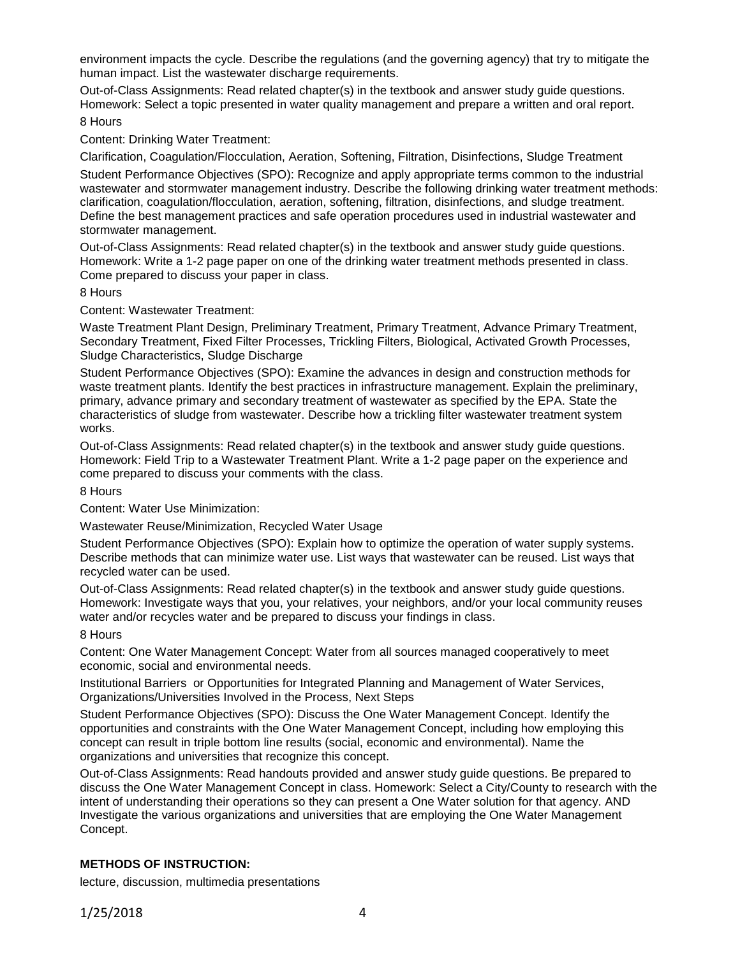environment impacts the cycle. Describe the regulations (and the governing agency) that try to mitigate the human impact. List the wastewater discharge requirements.

Out-of-Class Assignments: Read related chapter(s) in the textbook and answer study guide questions. Homework: Select a topic presented in water quality management and prepare a written and oral report.

8 Hours

Content: Drinking Water Treatment:

Clarification, Coagulation/Flocculation, Aeration, Softening, Filtration, Disinfections, Sludge Treatment Student Performance Objectives (SPO): Recognize and apply appropriate terms common to the industrial wastewater and stormwater management industry. Describe the following drinking water treatment methods: clarification, coagulation/flocculation, aeration, softening, filtration, disinfections, and sludge treatment. Define the best management practices and safe operation procedures used in industrial wastewater and stormwater management.

Out-of-Class Assignments: Read related chapter(s) in the textbook and answer study guide questions. Homework: Write a 1-2 page paper on one of the drinking water treatment methods presented in class. Come prepared to discuss your paper in class.

8 Hours

Content: Wastewater Treatment:

Waste Treatment Plant Design, Preliminary Treatment, Primary Treatment, Advance Primary Treatment, Secondary Treatment, Fixed Filter Processes, Trickling Filters, Biological, Activated Growth Processes, Sludge Characteristics, Sludge Discharge

Student Performance Objectives (SPO): Examine the advances in design and construction methods for waste treatment plants. Identify the best practices in infrastructure management. Explain the preliminary, primary, advance primary and secondary treatment of wastewater as specified by the EPA. State the characteristics of sludge from wastewater. Describe how a trickling filter wastewater treatment system works.

Out-of-Class Assignments: Read related chapter(s) in the textbook and answer study guide questions. Homework: Field Trip to a Wastewater Treatment Plant. Write a 1-2 page paper on the experience and come prepared to discuss your comments with the class.

8 Hours

Content: Water Use Minimization:

Wastewater Reuse/Minimization, Recycled Water Usage

Student Performance Objectives (SPO): Explain how to optimize the operation of water supply systems. Describe methods that can minimize water use. List ways that wastewater can be reused. List ways that recycled water can be used.

Out-of-Class Assignments: Read related chapter(s) in the textbook and answer study guide questions. Homework: Investigate ways that you, your relatives, your neighbors, and/or your local community reuses water and/or recycles water and be prepared to discuss your findings in class.

8 Hours

Content: One Water Management Concept: Water from all sources managed cooperatively to meet economic, social and environmental needs.

Institutional Barriers or Opportunities for Integrated Planning and Management of Water Services, Organizations/Universities Involved in the Process, Next Steps

Student Performance Objectives (SPO): Discuss the One Water Management Concept. Identify the opportunities and constraints with the One Water Management Concept, including how employing this concept can result in triple bottom line results (social, economic and environmental). Name the organizations and universities that recognize this concept.

Out-of-Class Assignments: Read handouts provided and answer study guide questions. Be prepared to discuss the One Water Management Concept in class. Homework: Select a City/County to research with the intent of understanding their operations so they can present a One Water solution for that agency. AND Investigate the various organizations and universities that are employing the One Water Management Concept.

## **METHODS OF INSTRUCTION:**

lecture, discussion, multimedia presentations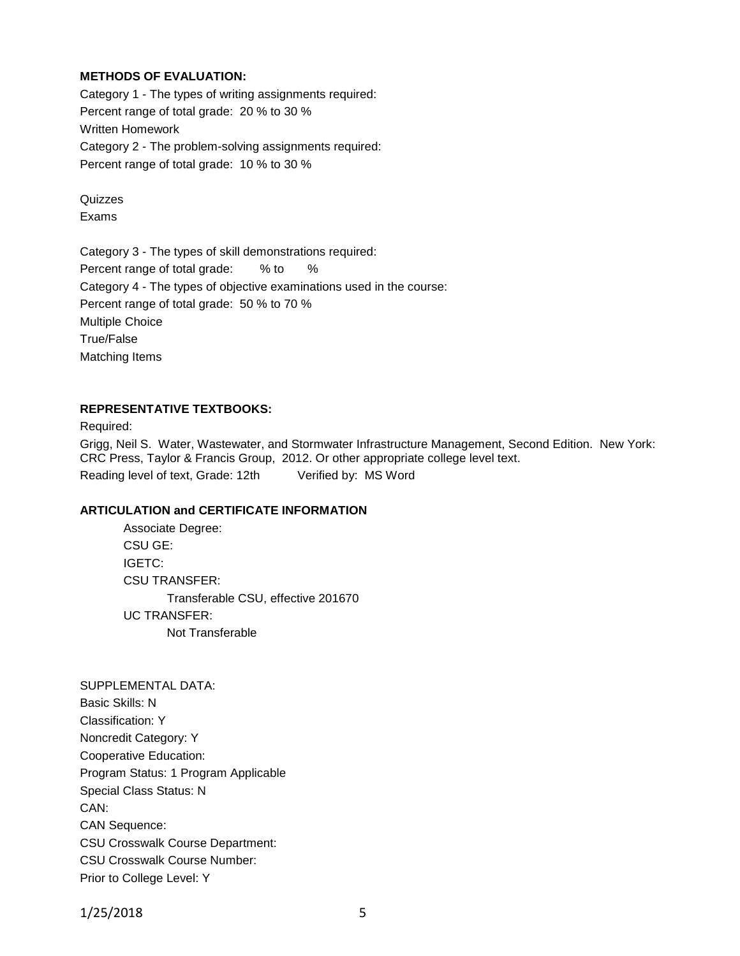## **METHODS OF EVALUATION:**

Category 1 - The types of writing assignments required: Percent range of total grade: 20 % to 30 % Written Homework Category 2 - The problem-solving assignments required: Percent range of total grade: 10 % to 30 %

Quizzes Exams

Category 3 - The types of skill demonstrations required: Percent range of total grade: % to % Category 4 - The types of objective examinations used in the course: Percent range of total grade: 50 % to 70 % Multiple Choice True/False Matching Items

#### **REPRESENTATIVE TEXTBOOKS:**

Required:

Grigg, Neil S. Water, Wastewater, and Stormwater Infrastructure Management, Second Edition. New York: CRC Press, Taylor & Francis Group, 2012. Or other appropriate college level text. Reading level of text, Grade: 12th Verified by: MS Word

#### **ARTICULATION and CERTIFICATE INFORMATION**

Associate Degree: CSU GE: IGETC: CSU TRANSFER: Transferable CSU, effective 201670 UC TRANSFER: Not Transferable

SUPPLEMENTAL DATA: Basic Skills: N Classification: Y Noncredit Category: Y Cooperative Education: Program Status: 1 Program Applicable Special Class Status: N CAN: CAN Sequence: CSU Crosswalk Course Department: CSU Crosswalk Course Number: Prior to College Level: Y

1/25/2018 5